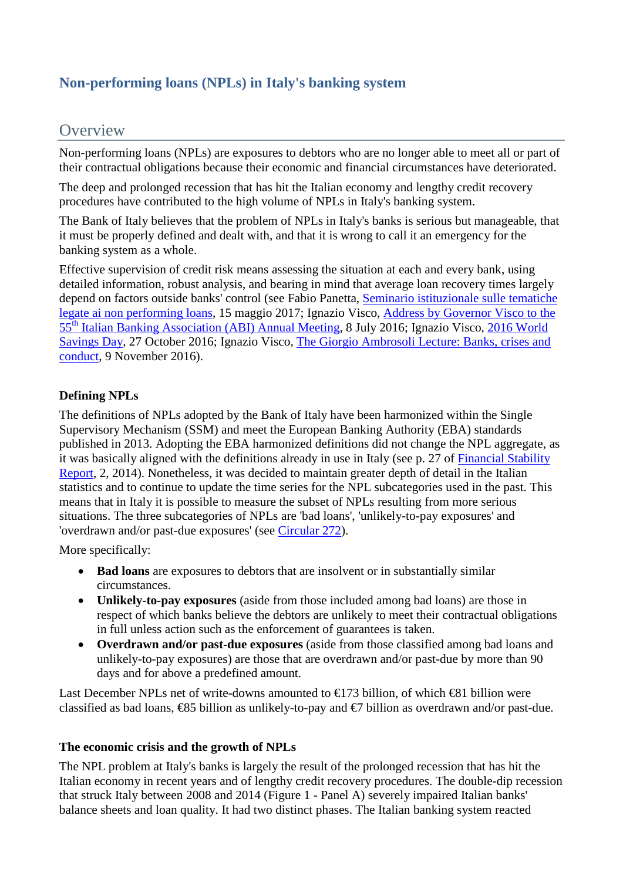# **Non-performing loans (NPLs) in Italy's banking system**

## **Overview**

Non-performing loans (NPLs) are exposures to debtors who are no longer able to meet all or part of their contractual obligations because their economic and financial circumstances have deteriorated.

The deep and prolonged recession that has hit the Italian economy and lengthy credit recovery procedures have contributed to the high volume of NPLs in Italy's banking system.

The Bank of Italy believes that the problem of NPLs in Italy's banks is serious but manageable, that it must be properly defined and dealt with, and that it is wrong to call it an emergency for the banking system as a whole.

Effective supervision of credit risk means assessing the situation at each and every bank, using detailed information, robust analysis, and bearing in mind that average loan recovery times largely depend on factors outside banks' control (see Fabio Panetta, [Seminario istituzionale sulle tematiche](https://www.bancaditalia.it/pubblicazioni/interventi-direttorio/int-dir-2017/Panetta-150517.pdf)  [legate ai non performing loans,](https://www.bancaditalia.it/pubblicazioni/interventi-direttorio/int-dir-2017/Panetta-150517.pdf) 15 maggio 2017; Ignazio Visco, [Address by Governor Visco to the](https://www.bancaditalia.it/pubblicazioni/interventi-governatore/integov2016/Visco_ABI_08_luglio_2016.pdf?language_id=1)  55th [Italian Banking Association \(ABI\) Annual Meeting,](https://www.bancaditalia.it/pubblicazioni/interventi-governatore/integov2016/Visco_ABI_08_luglio_2016.pdf?language_id=1) 8 July 2016; Ignazio Visco, [2016 World](http://www.bancaditalia.it/pubblicazioni/interventi-governatore/integov2016/en-visco-271016.pdf?language_id=1)  [Savings Day,](http://www.bancaditalia.it/pubblicazioni/interventi-governatore/integov2016/en-visco-271016.pdf?language_id=1) 27 October 2016; Ignazio Visco, [The Giorgio Ambrosoli Lecture: Banks, crises and](http://www.bancaditalia.it/pubblicazioni/interventi-governatore/integov2016/Visco_09112016en.pdf?language_id=1) [conduct,](http://www.bancaditalia.it/pubblicazioni/interventi-governatore/integov2016/Visco_09112016en.pdf?language_id=1) 9 November 2016).

### **Defining NPLs**

The definitions of NPLs adopted by the Bank of Italy have been harmonized within the Single Supervisory Mechanism (SSM) and meet the European Banking Authority (EBA) standards published in 2013. Adopting the EBA harmonized definitions did not change the NPL aggregate, as it was basically aligned with the definitions already in use in Italy (see p. 27 of [Financial Stability](https://www.bancaditalia.it/pubblicazioni/rapporto-stabilita/2014-2/en-RSF2-2014.pdf?language_id=1#page=28)  [Report,](https://www.bancaditalia.it/pubblicazioni/rapporto-stabilita/2014-2/en-RSF2-2014.pdf?language_id=1#page=28) 2, 2014). Nonetheless, it was decided to maintain greater depth of detail in the Italian statistics and to continue to update the time series for the NPL subcategories used in the past. This means that in Italy it is possible to measure the subset of NPLs resulting from more serious situations. The three subcategories of NPLs are 'bad loans', 'unlikely-to-pay exposures' and 'overdrawn and/or past-due exposures' (see [Circular 272\)](https://www.bancaditalia.it/compiti/vigilanza/normativa/archivio-norme/circolari/c272/index.html?language_id=102).

More specifically:

- **Bad loans** are exposures to debtors that are insolvent or in substantially similar circumstances.
- **Unlikely-to-pay exposures** (aside from those included among bad loans) are those in respect of which banks believe the debtors are unlikely to meet their contractual obligations in full unless action such as the enforcement of guarantees is taken.
- **Overdrawn and/or past-due exposures** (aside from those classified among bad loans and unlikely-to-pay exposures) are those that are overdrawn and/or past-due by more than 90 days and for above a predefined amount.

Last December NPLs net of write-downs amounted to  $\bigoplus$  73 billion, of which  $\bigoplus$  billion were classified as bad loans,  $\otimes$ 5 billion as unlikely-to-pay and  $\otimes$  billion as overdrawn and/or past-due.

#### **The economic crisis and the growth of NPLs**

The NPL problem at Italy's banks is largely the result of the prolonged recession that has hit the Italian economy in recent years and of lengthy credit recovery procedures. The double-dip recession that struck Italy between 2008 and 2014 (Figure 1 - Panel A) severely impaired Italian banks' balance sheets and loan quality. It had two distinct phases. The Italian banking system reacted